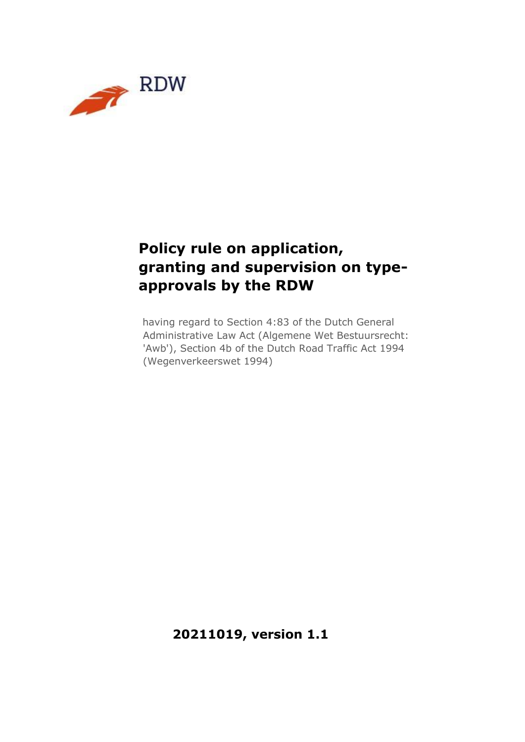

# **Policy rule on application, granting and supervision on typeapprovals by the RDW**

having regard to Section 4:83 of the Dutch General Administrative Law Act (Algemene Wet Bestuursrecht: 'Awb'), Section 4b of the Dutch Road Traffic Act 1994 (Wegenverkeerswet 1994)

**20211019, version 1.1**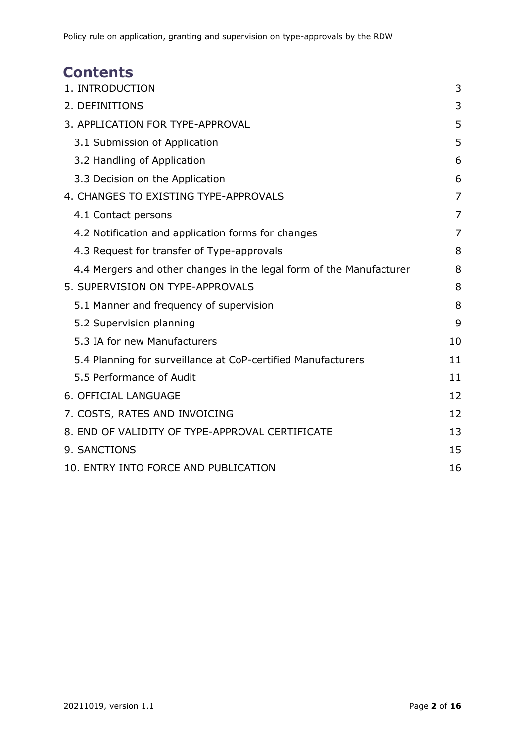# **Contents**

<span id="page-1-0"></span>

| 1. INTRODUCTION                                                     | 3  |
|---------------------------------------------------------------------|----|
| 2. DEFINITIONS                                                      | 3  |
| 3. APPLICATION FOR TYPE-APPROVAL                                    | 5  |
| 3.1 Submission of Application                                       | 5  |
| 3.2 Handling of Application                                         | 6  |
| 3.3 Decision on the Application                                     | 6  |
| 4. CHANGES TO EXISTING TYPE-APPROVALS                               | 7  |
| 4.1 Contact persons                                                 | 7  |
| 4.2 Notification and application forms for changes                  | 7  |
| 4.3 Request for transfer of Type-approvals                          | 8  |
| 4.4 Mergers and other changes in the legal form of the Manufacturer | 8  |
| 5. SUPERVISION ON TYPE-APPROVALS                                    | 8  |
| 5.1 Manner and frequency of supervision                             | 8  |
| 5.2 Supervision planning                                            | 9  |
| 5.3 IA for new Manufacturers                                        | 10 |
| 5.4 Planning for surveillance at CoP-certified Manufacturers        | 11 |
| 5.5 Performance of Audit                                            | 11 |
| 6. OFFICIAL LANGUAGE                                                | 12 |
| 7. COSTS, RATES AND INVOICING                                       | 12 |
| 8. END OF VALIDITY OF TYPE-APPROVAL CERTIFICATE                     | 13 |
| 9. SANCTIONS                                                        | 15 |
| 10. ENTRY INTO FORCE AND PUBLICATION                                | 16 |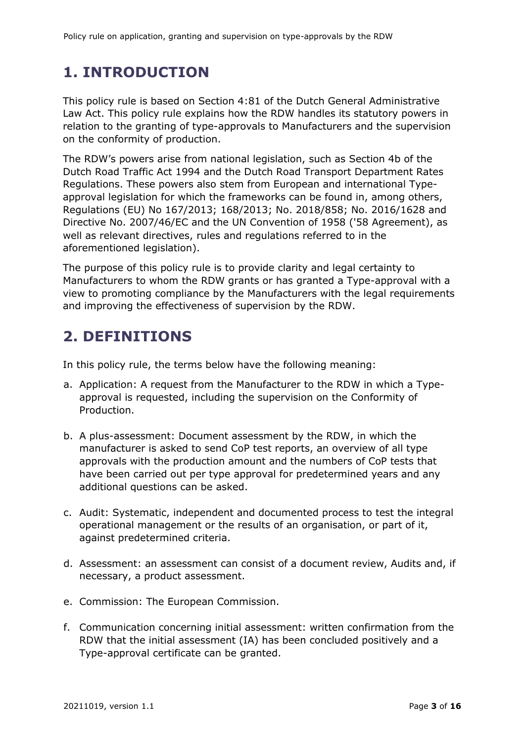# **1. INTRODUCTION**

This policy rule is based on Section 4:81 of the Dutch General Administrative Law Act. This policy rule explains how the RDW handles its statutory powers in relation to the granting of type-approvals to Manufacturers and the supervision on the conformity of production.

The RDW's powers arise from national legislation, such as Section 4b of the Dutch Road Traffic Act 1994 and the Dutch Road Transport Department Rates Regulations. These powers also stem from European and international Typeapproval legislation for which the frameworks can be found in, among others, Regulations (EU) No 167/2013; 168/2013; No. 2018/858; No. 2016/1628 and Directive No. 2007/46/EC and the UN Convention of 1958 ('58 Agreement), as well as relevant directives, rules and regulations referred to in the aforementioned legislation).

The purpose of this policy rule is to provide clarity and legal certainty to Manufacturers to whom the RDW grants or has granted a Type-approval with a view to promoting compliance by the Manufacturers with the legal requirements and improving the effectiveness of supervision by the RDW.

# <span id="page-2-0"></span>**2. DEFINITIONS**

In this policy rule, the terms below have the following meaning:

- a. Application: A request from the Manufacturer to the RDW in which a Typeapproval is requested, including the supervision on the Conformity of Production.
- b. A plus-assessment: Document assessment by the RDW, in which the manufacturer is asked to send CoP test reports, an overview of all type approvals with the production amount and the numbers of CoP tests that have been carried out per type approval for predetermined years and any additional questions can be asked.
- c. Audit: Systematic, independent and documented process to test the integral operational management or the results of an organisation, or part of it, against predetermined criteria.
- d. Assessment: an assessment can consist of a document review, Audits and, if necessary, a product assessment.
- e. Commission: The European Commission.
- f. Communication concerning initial assessment: written confirmation from the RDW that the initial assessment (IA) has been concluded positively and a Type-approval certificate can be granted.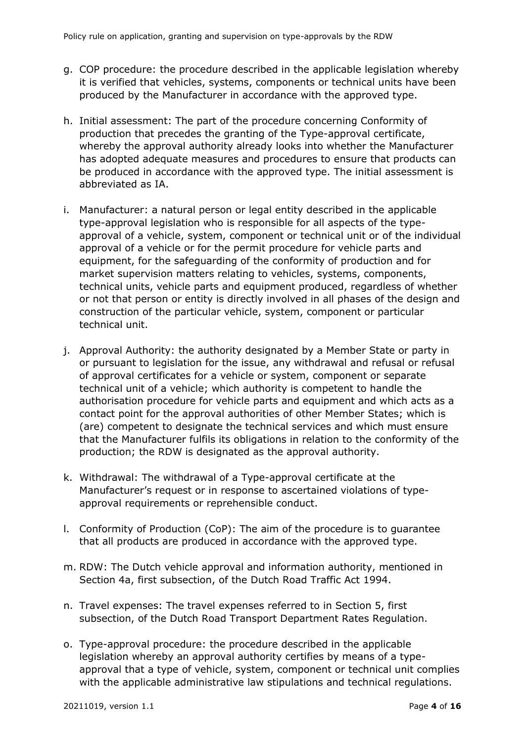- g. COP procedure: the procedure described in the applicable legislation whereby it is verified that vehicles, systems, components or technical units have been produced by the Manufacturer in accordance with the approved type.
- h. Initial assessment: The part of the procedure concerning Conformity of production that precedes the granting of the Type-approval certificate, whereby the approval authority already looks into whether the Manufacturer has adopted adequate measures and procedures to ensure that products can be produced in accordance with the approved type. The initial assessment is abbreviated as IA.
- i. Manufacturer: a natural person or legal entity described in the applicable type-approval legislation who is responsible for all aspects of the typeapproval of a vehicle, system, component or technical unit or of the individual approval of a vehicle or for the permit procedure for vehicle parts and equipment, for the safeguarding of the conformity of production and for market supervision matters relating to vehicles, systems, components, technical units, vehicle parts and equipment produced, regardless of whether or not that person or entity is directly involved in all phases of the design and construction of the particular vehicle, system, component or particular technical unit.
- j. Approval Authority: the authority designated by a Member State or party in or pursuant to legislation for the issue, any withdrawal and refusal or refusal of approval certificates for a vehicle or system, component or separate technical unit of a vehicle; which authority is competent to handle the authorisation procedure for vehicle parts and equipment and which acts as a contact point for the approval authorities of other Member States; which is (are) competent to designate the technical services and which must ensure that the Manufacturer fulfils its obligations in relation to the conformity of the production; the RDW is designated as the approval authority.
- k. Withdrawal: The withdrawal of a Type-approval certificate at the Manufacturer's request or in response to ascertained violations of typeapproval requirements or reprehensible conduct.
- l. Conformity of Production (CoP): The aim of the procedure is to guarantee that all products are produced in accordance with the approved type.
- m. RDW: The Dutch vehicle approval and information authority, mentioned in Section 4a, first subsection, of the Dutch Road Traffic Act 1994.
- n. Travel expenses: The travel expenses referred to in Section 5, first subsection, of the Dutch Road Transport Department Rates Regulation.
- o. Type-approval procedure: the procedure described in the applicable legislation whereby an approval authority certifies by means of a typeapproval that a type of vehicle, system, component or technical unit complies with the applicable administrative law stipulations and technical regulations.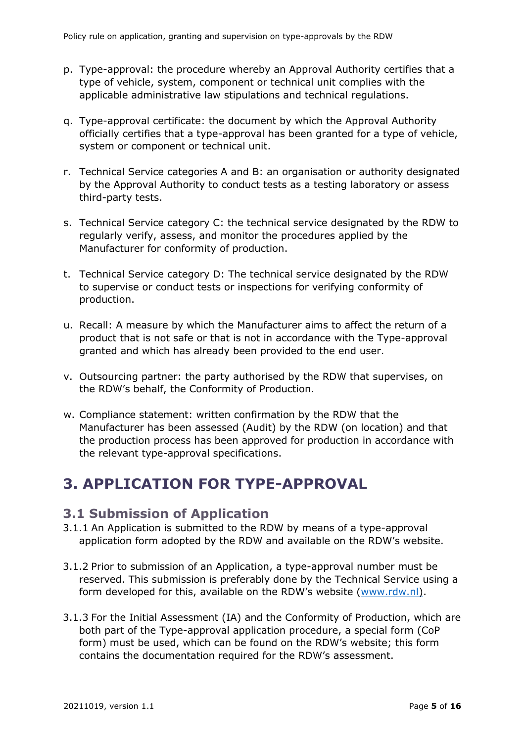- p. Type-approval: the procedure whereby an Approval Authority certifies that a type of vehicle, system, component or technical unit complies with the applicable administrative law stipulations and technical regulations.
- q. Type-approval certificate: the document by which the Approval Authority officially certifies that a type-approval has been granted for a type of vehicle, system or component or technical unit.
- r. Technical Service categories A and B: an organisation or authority designated by the Approval Authority to conduct tests as a testing laboratory or assess third-party tests.
- s. Technical Service category C: the technical service designated by the RDW to regularly verify, assess, and monitor the procedures applied by the Manufacturer for conformity of production.
- t. Technical Service category D: The technical service designated by the RDW to supervise or conduct tests or inspections for verifying conformity of production.
- u. Recall: A measure by which the Manufacturer aims to affect the return of a product that is not safe or that is not in accordance with the Type-approval granted and which has already been provided to the end user.
- v. Outsourcing partner: the party authorised by the RDW that supervises, on the RDW's behalf, the Conformity of Production.
- w. Compliance statement: written confirmation by the RDW that the Manufacturer has been assessed (Audit) by the RDW (on location) and that the production process has been approved for production in accordance with the relevant type-approval specifications.

# <span id="page-4-0"></span>**3. APPLICATION FOR TYPE-APPROVAL**

### <span id="page-4-1"></span>**3.1 Submission of Application**

- 3.1.1 An Application is submitted to the RDW by means of a type-approval application form adopted by the RDW and available on the RDW's website.
- 3.1.2 Prior to submission of an Application, a type-approval number must be reserved. This submission is preferably done by the Technical Service using a form developed for this, available on the RDW's website ([www.rdw.nl\).](http://www.rdw.nl/)
- 3.1.3 For the Initial Assessment (IA) and the Conformity of Production, which are both part of the Type-approval application procedure, a special form (CoP form) must be used, which can be found on the RDW's website; this form contains the documentation required for the RDW's assessment.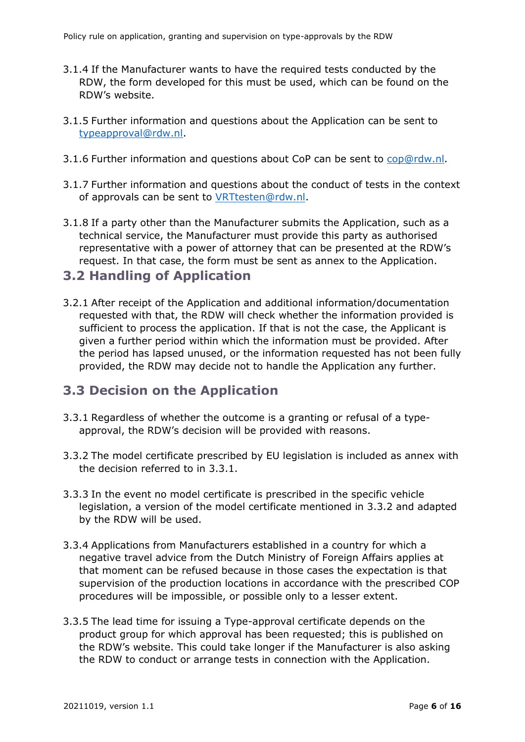- 3.1.4 If the Manufacturer wants to have the required tests conducted by the RDW, the form developed for this must be used, which can be found on the RDW's website.
- 3.1.5 Further information and questions about the Application can be sent to typeapproval@rdw.nl.
- 3.1.6 Further information and questions about CoP can be sent to cop@rdw.nl.
- 3.1.7 Further information and questions about the conduct of tests in the context of approvals can be sent to VRTtesten@rdw.nl.
- 3.1.8 If a party other than the Manufacturer submits the Application, such as a technical service, the Manufacturer must provide this party as authorised representative with a power of attorney that can be presented at the RDW's request. In that case, the form must be sent as annex to the Application.

#### <span id="page-5-0"></span>**3.2 Handling of Application**

3.2.1 After receipt of the Application and additional information/documentation requested with that, the RDW will check whether the information provided is sufficient to process the application. If that is not the case, the Applicant is given a further period within which the information must be provided. After the period has lapsed unused, or the information requested has not been fully provided, the RDW may decide not to handle the Application any further.

### <span id="page-5-1"></span>**3.3 Decision on the Application**

- 3.3.1 Regardless of whether the outcome is a granting or refusal of a typeapproval, the RDW's decision will be provided with reasons.
- 3.3.2 The model certificate prescribed by EU legislation is included as annex with the decision referred to in 3.3.1.
- 3.3.3 In the event no model certificate is prescribed in the specific vehicle legislation, a version of the model certificate mentioned in 3.3.2 and adapted by the RDW will be used.
- 3.3.4 Applications from Manufacturers established in a country for which a negative travel advice from the Dutch Ministry of Foreign Affairs applies at that moment can be refused because in those cases the expectation is that supervision of the production locations in accordance with the prescribed COP procedures will be impossible, or possible only to a lesser extent.
- 3.3.5 The lead time for issuing a Type-approval certificate depends on the product group for which approval has been requested; this is published on the RDW's website. This could take longer if the Manufacturer is also asking the RDW to conduct or arrange tests in connection with the Application.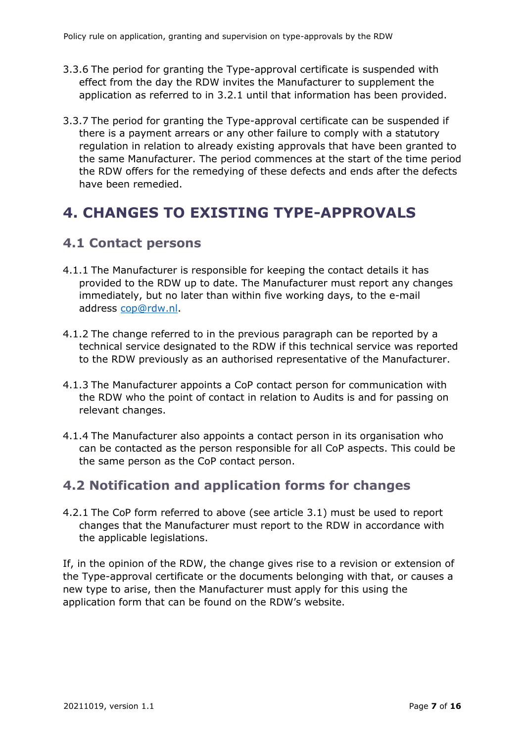- 3.3.6 The period for granting the Type-approval certificate is suspended with effect from the day the RDW invites the Manufacturer to supplement the application as referred to in 3.2.1 until that information has been provided.
- 3.3.7 The period for granting the Type-approval certificate can be suspended if there is a payment arrears or any other failure to comply with a statutory regulation in relation to already existing approvals that have been granted to the same Manufacturer. The period commences at the start of the time period the RDW offers for the remedying of these defects and ends after the defects have been remedied.

# <span id="page-6-0"></span>**4. CHANGES TO EXISTING TYPE-APPROVALS**

### <span id="page-6-1"></span>**4.1 Contact persons**

- 4.1.1 The Manufacturer is responsible for keeping the contact details it has provided to the RDW up to date. The Manufacturer must report any changes immediately, but no later than within five working days, to the e-mail address cop@rdw.nl.
- 4.1.2 The change referred to in the previous paragraph can be reported by a technical service designated to the RDW if this technical service was reported to the RDW previously as an authorised representative of the Manufacturer.
- 4.1.3 The Manufacturer appoints a CoP contact person for communication with the RDW who the point of contact in relation to Audits is and for passing on relevant changes.
- 4.1.4 The Manufacturer also appoints a contact person in its organisation who can be contacted as the person responsible for all CoP aspects. This could be the same person as the CoP contact person.

### <span id="page-6-2"></span>**4.2 Notification and application forms for changes**

4.2.1 The CoP form referred to above (see article 3.1) must be used to report changes that the Manufacturer must report to the RDW in accordance with the applicable legislations.

<span id="page-6-3"></span>If, in the opinion of the RDW, the change gives rise to a revision or extension of the Type-approval certificate or the documents belonging with that, or causes a new type to arise, then the Manufacturer must apply for this using the application form that can be found on the RDW's website.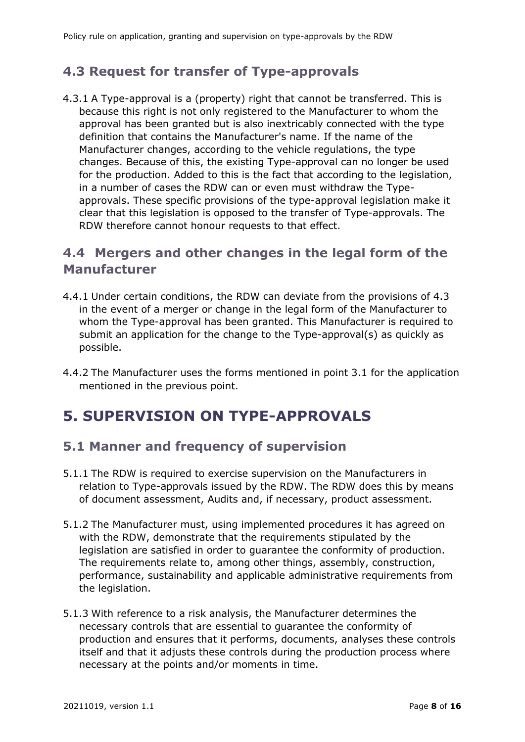### **4.3 Request for transfer of Type-approvals**

4.3.1 A Type-approval is a (property) right that cannot be transferred. This is because this right is not only registered to the Manufacturer to whom the approval has been granted but is also inextricably connected with the type definition that contains the Manufacturer's name. If the name of the Manufacturer changes, according to the vehicle regulations, the type changes. Because of this, the existing Type-approval can no longer be used for the production. Added to this is the fact that according to the legislation, in a number of cases the RDW can or even must withdraw the Typeapprovals. These specific provisions of the type-approval legislation make it clear that this legislation is opposed to the transfer of Type-approvals. The RDW therefore cannot honour requests to that effect.

### <span id="page-7-0"></span>**4.4 Mergers and other changes in the legal form of the Manufacturer**

- 4.4.1 Under certain conditions, the RDW can deviate from the provisions of 4.3 in the event of a merger or change in the legal form of the Manufacturer to whom the Type-approval has been granted. This Manufacturer is required to submit an application for the change to the Type-approval(s) as quickly as possible.
- 4.4.2 The Manufacturer uses the forms mentioned in point 3.1 for the application mentioned in the previous point.

### <span id="page-7-1"></span>**5. SUPERVISION ON TYPE-APPROVALS**

### <span id="page-7-2"></span>**5.1 Manner and frequency of supervision**

- 5.1.1 The RDW is required to exercise supervision on the Manufacturers in relation to Type-approvals issued by the RDW. The RDW does this by means of document assessment, Audits and, if necessary, product assessment.
- 5.1.2 The Manufacturer must, using implemented procedures it has agreed on with the RDW, demonstrate that the requirements stipulated by the legislation are satisfied in order to guarantee the conformity of production. The requirements relate to, among other things, assembly, construction, performance, sustainability and applicable administrative requirements from the legislation.
- 5.1.3 With reference to a risk analysis, the Manufacturer determines the necessary controls that are essential to guarantee the conformity of production and ensures that it performs, documents, analyses these controls itself and that it adjusts these controls during the production process where necessary at the points and/or moments in time.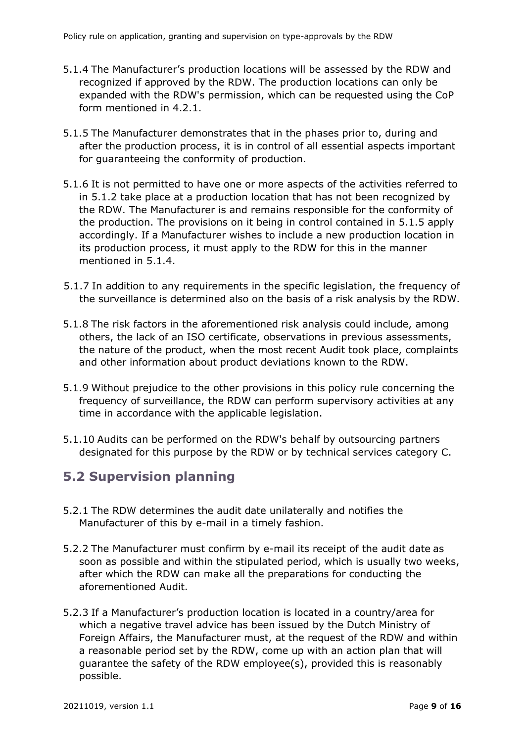- 5.1.4 The Manufacturer's production locations will be assessed by the RDW and recognized if approved by the RDW. The production locations can only be expanded with the RDW's permission, which can be requested using the CoP form mentioned in 4.2.1.
- 5.1.5 The Manufacturer demonstrates that in the phases prior to, during and after the production process, it is in control of all essential aspects important for guaranteeing the conformity of production.
- 5.1.6 It is not permitted to have one or more aspects of the activities referred to in 5.1.2 take place at a production location that has not been recognized by the RDW. The Manufacturer is and remains responsible for the conformity of the production. The provisions on it being in control contained in 5.1.5 apply accordingly. If a Manufacturer wishes to include a new production location in its production process, it must apply to the RDW for this in the manner mentioned in 5.1.4.
- 5.1.7 In addition to any requirements in the specific legislation, the frequency of the surveillance is determined also on the basis of a risk analysis by the RDW.
- 5.1.8 The risk factors in the aforementioned risk analysis could include, among others, the lack of an ISO certificate, observations in previous assessments, the nature of the product, when the most recent Audit took place, complaints and other information about product deviations known to the RDW.
- 5.1.9 Without prejudice to the other provisions in this policy rule concerning the frequency of surveillance, the RDW can perform supervisory activities at any time in accordance with the applicable legislation.
- 5.1.10 Audits can be performed on the RDW's behalf by outsourcing partners designated for this purpose by the RDW or by technical services category C.

### <span id="page-8-0"></span>**5.2 Supervision planning**

- 5.2.1 The RDW determines the audit date unilaterally and notifies the Manufacturer of this by e-mail in a timely fashion.
- 5.2.2 The Manufacturer must confirm by e-mail its receipt of the audit date as soon as possible and within the stipulated period, which is usually two weeks, after which the RDW can make all the preparations for conducting the aforementioned Audit.
- 5.2.3 If a Manufacturer's production location is located in a country/area for which a negative travel advice has been issued by the Dutch Ministry of Foreign Affairs, the Manufacturer must, at the request of the RDW and within a reasonable period set by the RDW, come up with an action plan that will guarantee the safety of the RDW employee(s), provided this is reasonably possible.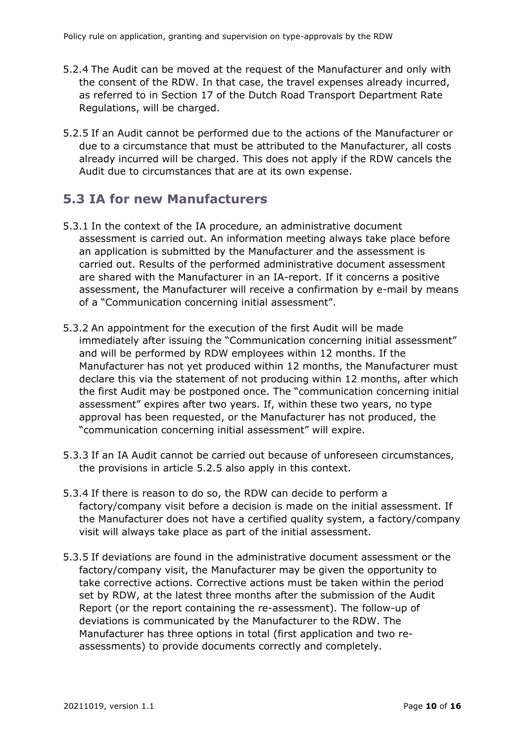- 5.2.4 The Audit can be moved at the request of the Manufacturer and only with the consent of the RDW. In that case, the travel expenses already incurred, as referred to in Section 17 of the Dutch Road Transport Department Rate Regulations, will be charged.
- 5.2.5 If an Audit cannot be performed due to the actions of the Manufacturer or due to a circumstance that must be attributed to the Manufacturer, all costs already incurred will be charged. This does not apply if the RDW cancels the Audit due to circumstances that are at its own expense.

### <span id="page-9-0"></span>**5.3 IA for new Manufacturers**

- 5.3.1 In the context of the IA procedure, an administrative document assessment is carried out. An information meeting always take place before an application is submitted by the Manufacturer and the assessment is carried out. Results of the performed administrative document assessment are shared with the Manufacturer in an IA-report. If it concerns a positive assessment, the Manufacturer will receive a confirmation by e-mail by means of a "Communication concerning initial assessment".
- 5.3.2 An appointment for the execution of the first Audit will be made immediately after issuing the "Communication concerning initial assessment" and will be performed by RDW employees within 12 months. If the Manufacturer has not yet produced within 12 months, the Manufacturer must declare this via the statement of not producing within 12 months, after which the first Audit may be postponed once. The "communication concerning initial assessment" expires after two years. If, within these two years, no type approval has been requested, or the Manufacturer has not produced, the "communication concerning initial assessment" will expire.
- 5.3.3 If an IA Audit cannot be carried out because of unforeseen circumstances, the provisions in article 5.2.5 also apply in this context.
- 5.3.4 If there is reason to do so, the RDW can decide to perform a factory/company visit before a decision is made on the initial assessment. If the Manufacturer does not have a certified quality system, a factory/company visit will always take place as part of the initial assessment.
- 5.3.5 If deviations are found in the administrative document assessment or the factory/company visit, the Manufacturer may be given the opportunity to take corrective actions. Corrective actions must be taken within the period set by RDW, at the latest three months after the submission of the Audit Report (or the report containing the re-assessment). The follow-up of deviations is communicated by the Manufacturer to the RDW. The Manufacturer has three options in total (first application and two reassessments) to provide documents correctly and completely.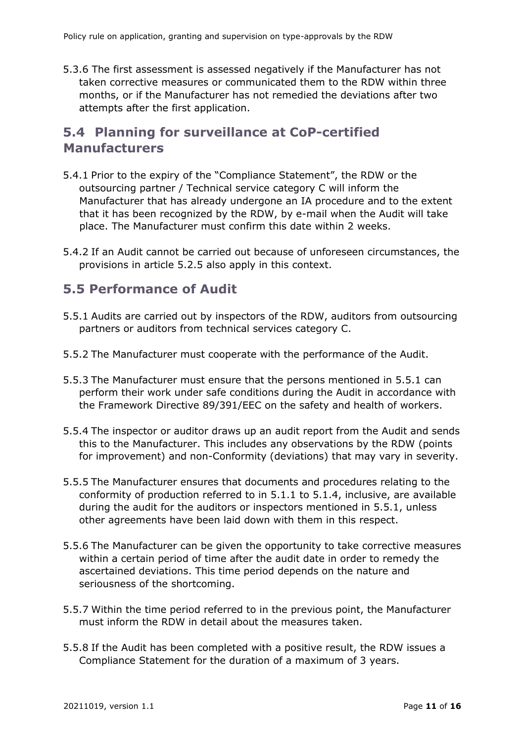5.3.6 The first assessment is assessed negatively if the Manufacturer has not taken corrective measures or communicated them to the RDW within three months, or if the Manufacturer has not remedied the deviations after two attempts after the first application.

### <span id="page-10-0"></span>**5.4 Planning for surveillance at CoP-certified Manufacturers**

- 5.4.1 Prior to the expiry of the "Compliance Statement", the RDW or the outsourcing partner / Technical service category C will inform the Manufacturer that has already undergone an IA procedure and to the extent that it has been recognized by the RDW, by e-mail when the Audit will take place. The Manufacturer must confirm this date within 2 weeks.
- 5.4.2 If an Audit cannot be carried out because of unforeseen circumstances, the provisions in article 5.2.5 also apply in this context.

### <span id="page-10-1"></span>**5.5 Performance of Audit**

- 5.5.1 Audits are carried out by inspectors of the RDW, auditors from outsourcing partners or auditors from technical services category C.
- 5.5.2 The Manufacturer must cooperate with the performance of the Audit.
- 5.5.3 The Manufacturer must ensure that the persons mentioned in 5.5.1 can perform their work under safe conditions during the Audit in accordance with the Framework Directive 89/391/EEC on the safety and health of workers.
- 5.5.4 The inspector or auditor draws up an audit report from the Audit and sends this to the Manufacturer. This includes any observations by the RDW (points for improvement) and non-Conformity (deviations) that may vary in severity.
- 5.5.5 The Manufacturer ensures that documents and procedures relating to the conformity of production referred to in 5.1.1 to 5.1.4, inclusive, are available during the audit for the auditors or inspectors mentioned in 5.5.1, unless other agreements have been laid down with them in this respect.
- 5.5.6 The Manufacturer can be given the opportunity to take corrective measures within a certain period of time after the audit date in order to remedy the ascertained deviations. This time period depends on the nature and seriousness of the shortcoming.
- 5.5.7 Within the time period referred to in the previous point, the Manufacturer must inform the RDW in detail about the measures taken.
- 5.5.8 If the Audit has been completed with a positive result, the RDW issues a Compliance Statement for the duration of a maximum of 3 years.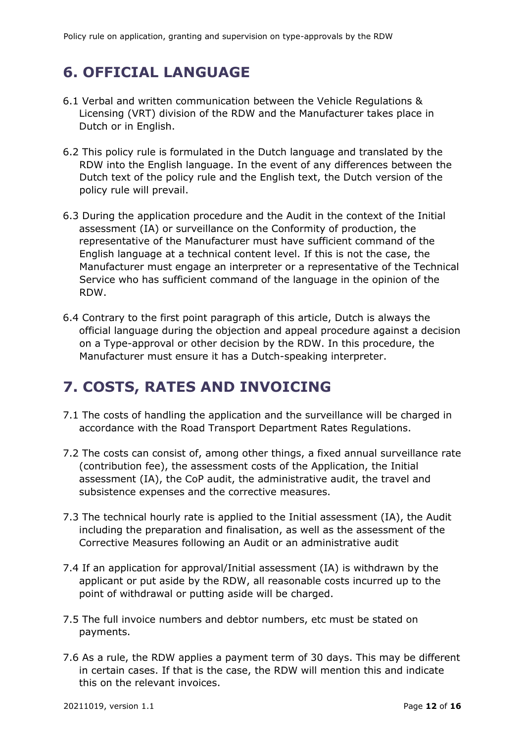# <span id="page-11-0"></span>**6. OFFICIAL LANGUAGE**

- 6.1 Verbal and written communication between the Vehicle Regulations & Licensing (VRT) division of the RDW and the Manufacturer takes place in Dutch or in English.
- 6.2 This policy rule is formulated in the Dutch language and translated by the RDW into the English language. In the event of any differences between the Dutch text of the policy rule and the English text, the Dutch version of the policy rule will prevail.
- 6.3 During the application procedure and the Audit in the context of the Initial assessment (IA) or surveillance on the Conformity of production, the representative of the Manufacturer must have sufficient command of the English language at a technical content level. If this is not the case, the Manufacturer must engage an interpreter or a representative of the Technical Service who has sufficient command of the language in the opinion of the RDW.
- 6.4 Contrary to the first point paragraph of this article, Dutch is always the official language during the objection and appeal procedure against a decision on a Type-approval or other decision by the RDW. In this procedure, the Manufacturer must ensure it has a Dutch-speaking interpreter.

# <span id="page-11-1"></span>**7. COSTS, RATES AND INVOICING**

- 7.1 The costs of handling the application and the surveillance will be charged in accordance with the Road Transport Department Rates Regulations.
- 7.2 The costs can consist of, among other things, a fixed annual surveillance rate (contribution fee), the assessment costs of the Application, the Initial assessment (IA), the CoP audit, the administrative audit, the travel and subsistence expenses and the corrective measures.
- 7.3 The technical hourly rate is applied to the Initial assessment (IA), the Audit including the preparation and finalisation, as well as the assessment of the Corrective Measures following an Audit or an administrative audit
- 7.4 If an application for approval/Initial assessment (IA) is withdrawn by the applicant or put aside by the RDW, all reasonable costs incurred up to the point of withdrawal or putting aside will be charged.
- 7.5 The full invoice numbers and debtor numbers, etc must be stated on payments.
- 7.6 As a rule, the RDW applies a payment term of 30 days. This may be different in certain cases. If that is the case, the RDW will mention this and indicate this on the relevant invoices.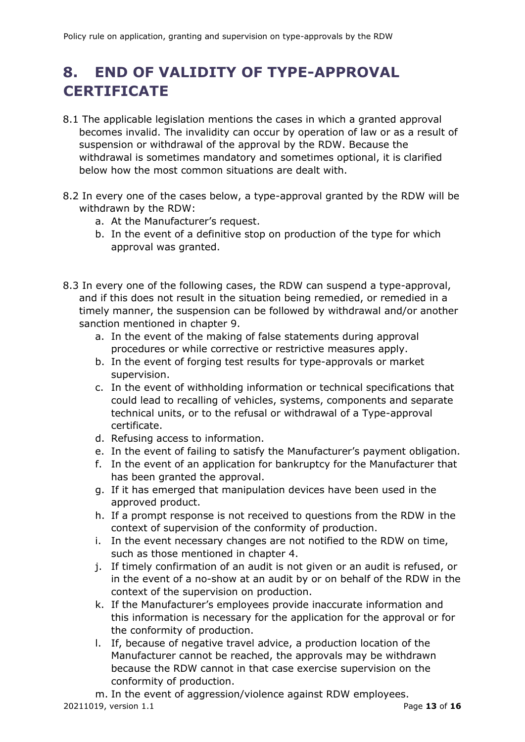# <span id="page-12-0"></span>**8. END OF VALIDITY OF TYPE-APPROVAL CERTIFICATE**

- 8.1 The applicable legislation mentions the cases in which a granted approval becomes invalid. The invalidity can occur by operation of law or as a result of suspension or withdrawal of the approval by the RDW. Because the withdrawal is sometimes mandatory and sometimes optional, it is clarified below how the most common situations are dealt with.
- 8.2 In every one of the cases below, a type-approval granted by the RDW will be withdrawn by the RDW:
	- a. At the Manufacturer's request.
	- b. In the event of a definitive stop on production of the type for which approval was granted.
- 8.3 In every one of the following cases, the RDW can suspend a type-approval, and if this does not result in the situation being remedied, or remedied in a timely manner, the suspension can be followed by withdrawal and/or another sanction mentioned in chapter 9.
	- a. In the event of the making of false statements during approval procedures or while corrective or restrictive measures apply.
	- b. In the event of forging test results for type-approvals or market supervision.
	- c. In the event of withholding information or technical specifications that could lead to recalling of vehicles, systems, components and separate technical units, or to the refusal or withdrawal of a Type-approval certificate.
	- d. Refusing access to information.
	- e. In the event of failing to satisfy the Manufacturer's payment obligation.
	- f. In the event of an application for bankruptcy for the Manufacturer that has been granted the approval.
	- g. If it has emerged that manipulation devices have been used in the approved product.
	- h. If a prompt response is not received to questions from the RDW in the context of supervision of the conformity of production.
	- i. In the event necessary changes are not notified to the RDW on time, such as those mentioned in chapter 4.
	- j. If timely confirmation of an audit is not given or an audit is refused, or in the event of a no-show at an audit by or on behalf of the RDW in the context of the supervision on production.
	- k. If the Manufacturer's employees provide inaccurate information and this information is necessary for the application for the approval or for the conformity of production.
	- l. If, because of negative travel advice, a production location of the Manufacturer cannot be reached, the approvals may be withdrawn because the RDW cannot in that case exercise supervision on the conformity of production.
- 20211019, version 1.1 Page **13** of **16** m. In the event of aggression/violence against RDW employees.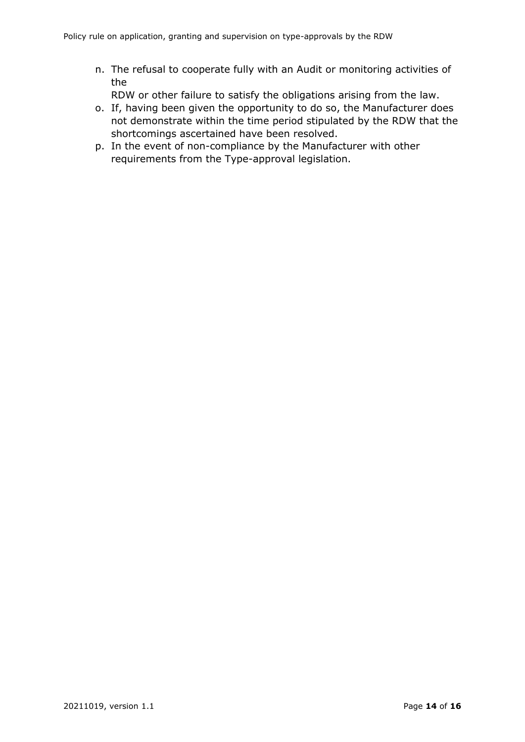- n. The refusal to cooperate fully with an Audit or monitoring activities of the
	- RDW or other failure to satisfy the obligations arising from the law.
- o. If, having been given the opportunity to do so, the Manufacturer does not demonstrate within the time period stipulated by the RDW that the shortcomings ascertained have been resolved.
- <span id="page-13-0"></span>p. In the event of non-compliance by the Manufacturer with other requirements from the Type-approval legislation.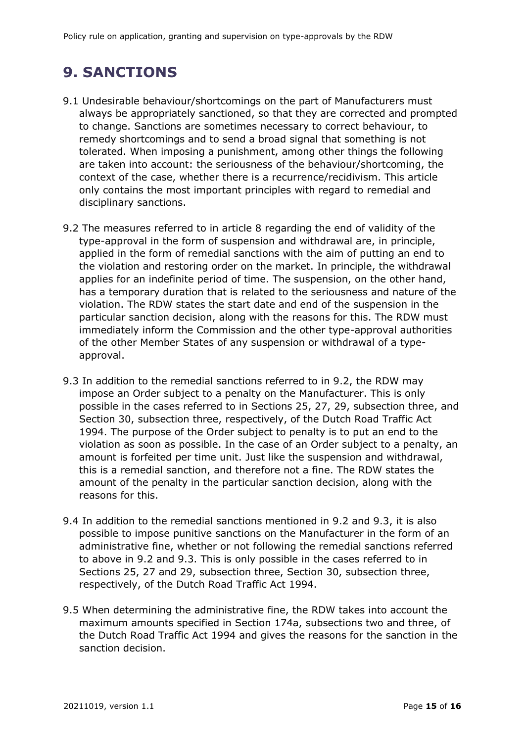# **9. SANCTIONS**

- 9.1 Undesirable behaviour/shortcomings on the part of Manufacturers must always be appropriately sanctioned, so that they are corrected and prompted to change. Sanctions are sometimes necessary to correct behaviour, to remedy shortcomings and to send a broad signal that something is not tolerated. When imposing a punishment, among other things the following are taken into account: the seriousness of the behaviour/shortcoming, the context of the case, whether there is a recurrence/recidivism. This article only contains the most important principles with regard to remedial and disciplinary sanctions.
- 9.2 The measures referred to in article 8 regarding the end of validity of the type-approval in the form of suspension and withdrawal are, in principle, applied in the form of remedial sanctions with the aim of putting an end to the violation and restoring order on the market. In principle, the withdrawal applies for an indefinite period of time. The suspension, on the other hand, has a temporary duration that is related to the seriousness and nature of the violation. The RDW states the start date and end of the suspension in the particular sanction decision, along with the reasons for this. The RDW must immediately inform the Commission and the other type-approval authorities of the other Member States of any suspension or withdrawal of a typeapproval.
- 9.3 In addition to the remedial sanctions referred to in 9.2, the RDW may impose an Order subject to a penalty on the Manufacturer. This is only possible in the cases referred to in Sections 25, 27, 29, subsection three, and Section 30, subsection three, respectively, of the Dutch Road Traffic Act 1994. The purpose of the Order subject to penalty is to put an end to the violation as soon as possible. In the case of an Order subject to a penalty, an amount is forfeited per time unit. Just like the suspension and withdrawal, this is a remedial sanction, and therefore not a fine. The RDW states the amount of the penalty in the particular sanction decision, along with the reasons for this.
- 9.4 In addition to the remedial sanctions mentioned in 9.2 and 9.3, it is also possible to impose punitive sanctions on the Manufacturer in the form of an administrative fine, whether or not following the remedial sanctions referred to above in 9.2 and 9.3. This is only possible in the cases referred to in Sections 25, 27 and 29, subsection three, Section 30, subsection three, respectively, of the Dutch Road Traffic Act 1994.
- 9.5 When determining the administrative fine, the RDW takes into account the maximum amounts specified in Section 174a, subsections two and three, of the Dutch Road Traffic Act 1994 and gives the reasons for the sanction in the sanction decision.